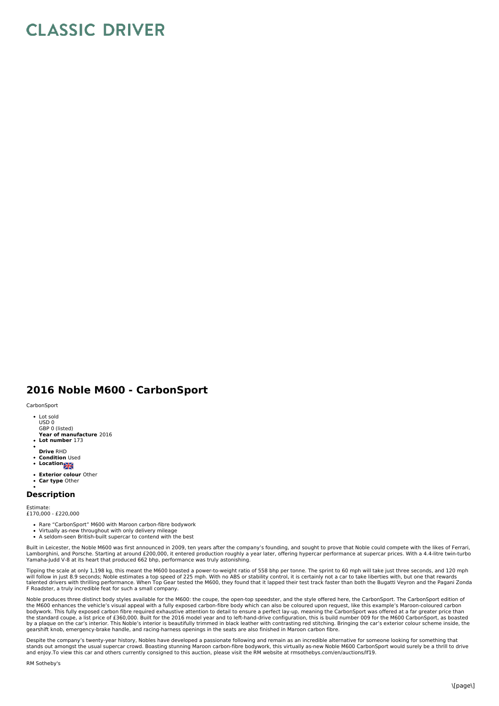## **CLASSIC DRIVER**

## **2016 Noble M600 - CarbonSport**

## **CarbonSport**

- Lot sold USD 0 GBP 0 (listed)
- **Year of manufacture** 2016
- **Lot number** 173
- **Drive** RHD
- **Condition** Used
- Location
- **Exterior colour** Other
- **Car type** Other

## **Description**

Estimate: £170,000 - £220,000

- Rare "CarbonSport" M600 with Maroon carbon-fibre bodywork
- Virtually as-new throughout with only delivery mileage
- A seldom-seen British-built supercar to contend with the best

Built in Leicester, the Noble M600 was first announced in 2009, ten years after the company's founding, and sought to prove that Noble could compete with the likes of Ferrari, Lamborghini, and Porsche. Starting at around £200,000, it entered production roughly a year later, offering hypercar performance at supercar prices. With a 4.4-litre twin-turbo<br>Yamaha-Judd V-8 at its heart that produced 66

Tipping the scale at only 1,198 kg, this meant the M600 boasted a power-to-weight ratio of 558 bhp per tonne. The sprint to 60 mph will take just three seconds, and 120 mph<br>will follow in just 8.9 seconds; Noble estimates talented drivers with thrilling performance. When Top Gear tested the M600, they found that it lapped their test track faster than both the Bugatti Veyron and the Pagani Zonda<br>F Roadster, a truly incredible feat for such a

Noble produces three distinct body styles available for the M600: the coupe, the open-top speedster, and the style offered here, the CarbonSport. The CarbonSport edition of<br>the M600 enhances the vehicle's visual appeal wit the standard coupe, a list price of £360,000. Built for the 2016 model year and to left-hand-drive configuration, this is build number 009 for the M600 CarbonSport, as boasted<br>by a plaque on the car's interior. This Noble' gearshift knob, emergency-brake handle, and racing-harness openings in the seats are also finished in Maroon carbon fibre.

Despite the company's twenty-year history, Nobles have developed a passionate following and remain as an incredible alternative for someone looking for something that<br>stands out amongst the usual supercar crowd. Boasting s

RM Sotheby's